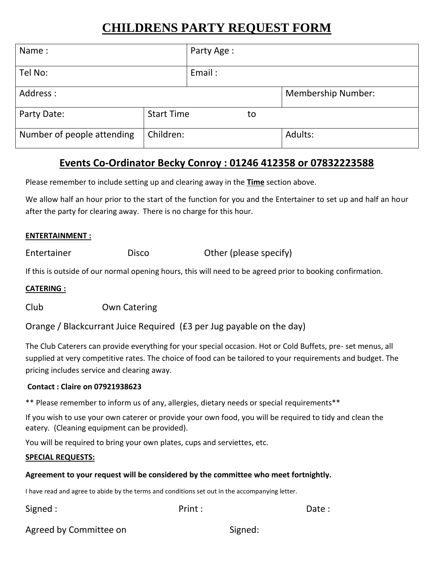# **CHILDRENS PARTY REQUEST FORM**

| Name:                      |                   | Party Age: |                           |         |
|----------------------------|-------------------|------------|---------------------------|---------|
| Tel No:                    |                   | Email:     |                           |         |
| Address:                   |                   |            | <b>Membership Number:</b> |         |
| Party Date:                | <b>Start Time</b> | to         |                           |         |
| Number of people attending | Children:         |            |                           | Adults: |

## **Events Co-Ordinator Becky Conroy : 01246 412358 or 07832223588**

Please remember to include setting up and clearing away in the **Time** section above.

We allow half an hour prior to the start of the function for you and the Entertainer to set up and half an hour after the party for clearing away. There is no charge for this hour.

#### **ENTERTAINMENT :**

Entertainer **Disco** Disco Other (please specify)

If this is outside of our normal opening hours, this will need to be agreed prior to booking confirmation.

#### **CATERING :**

Club Own Catering

Orange / Blackcurrant Juice Required (£3 per Jug payable on the day)

The Club Caterers can provide everything for your special occasion. Hot or Cold Buffets, pre- set menus, all supplied at very competitive rates. The choice of food can be tailored to your requirements and budget. The pricing includes service and clearing away.

#### **Contact : Claire on 07921938623**

\*\* Please remember to inform us of any, allergies, dietary needs or special requirements\*\*

If you wish to use your own caterer or provide your own food, you will be required to tidy and clean the eatery. (Cleaning equipment can be provided).

You will be required to bring your own plates, cups and serviettes, etc.

#### **SPECIAL REQUESTS:**

#### **Agreement to your request will be considered by the committee who meet fortnightly.**

I have read and agree to abide by the terms and conditions set out in the accompanying letter.

### Signed : The Solution of Print : The Solution of Date : Date : Date :

### Agreed by Committee on Signed: